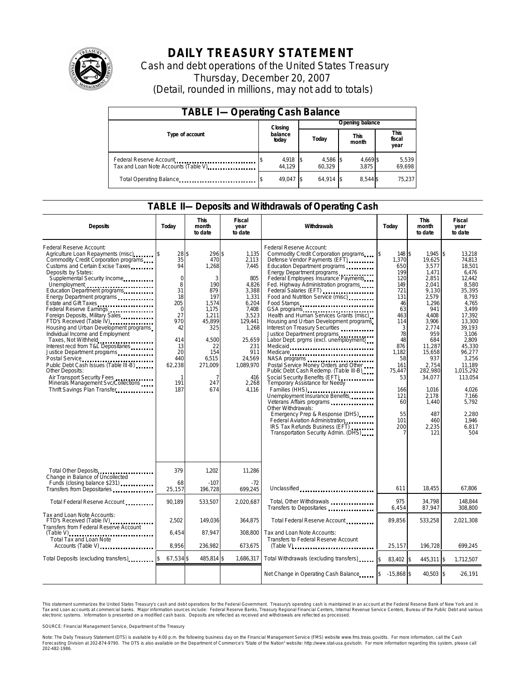

# **DAILY TREASURY STATEMENT**

Cash and debt operations of the United States Treasury Thursday, December 20, 2007 (Detail, rounded in millions, may not add to totals)

| <b>TABLE I-Operating Cash Balance</b>                            |  |                             |  |                    |  |                      |  |                               |  |  |
|------------------------------------------------------------------|--|-----------------------------|--|--------------------|--|----------------------|--|-------------------------------|--|--|
|                                                                  |  | Closing<br>balance<br>today |  | Opening balance    |  |                      |  |                               |  |  |
| Type of account                                                  |  |                             |  | Today              |  | <b>This</b><br>month |  | <b>This</b><br>fiscal<br>year |  |  |
| Federal Reserve Account<br>Tax and Loan Note Accounts (Table V). |  | 4,918 \$<br>44.129          |  | 4,586 \$<br>60.329 |  | 4,669 \$<br>3.875    |  | 5,539<br>69,698               |  |  |
| Total Operating Balance                                          |  | 49.047 \$                   |  | $64.914$ \\$       |  | 8.544 \$             |  | 75.237                        |  |  |

### **TABLE II—Deposits and Withdrawals of Operating Cash**

| <b>Deposits</b>                                                                                                                                                                                                                                                                                                                                                                                                                                                                                                                                                                                                                                                                                                                      | Today                                                                                                                                         | <b>This</b><br>month<br>to date                                                                                                                           | <b>Fiscal</b><br>year<br>to date                                                                                                                                                 | Withdrawals                                                                                                                                                                                                                                                                                                                                                                                                                                                                                                                                                                                                                                                                                                                                                                                                                                                                                                                               | Today                                                                                                                                                                                           | <b>This</b><br>month<br>to date                                                                                                                                                                                                                       | <b>Fiscal</b><br>year<br>to date                                                                                                                                                                                                                                        |
|--------------------------------------------------------------------------------------------------------------------------------------------------------------------------------------------------------------------------------------------------------------------------------------------------------------------------------------------------------------------------------------------------------------------------------------------------------------------------------------------------------------------------------------------------------------------------------------------------------------------------------------------------------------------------------------------------------------------------------------|-----------------------------------------------------------------------------------------------------------------------------------------------|-----------------------------------------------------------------------------------------------------------------------------------------------------------|----------------------------------------------------------------------------------------------------------------------------------------------------------------------------------|-------------------------------------------------------------------------------------------------------------------------------------------------------------------------------------------------------------------------------------------------------------------------------------------------------------------------------------------------------------------------------------------------------------------------------------------------------------------------------------------------------------------------------------------------------------------------------------------------------------------------------------------------------------------------------------------------------------------------------------------------------------------------------------------------------------------------------------------------------------------------------------------------------------------------------------------|-------------------------------------------------------------------------------------------------------------------------------------------------------------------------------------------------|-------------------------------------------------------------------------------------------------------------------------------------------------------------------------------------------------------------------------------------------------------|-------------------------------------------------------------------------------------------------------------------------------------------------------------------------------------------------------------------------------------------------------------------------|
| Federal Reserve Account:<br>Agriculture Loan Repayments (misc)<br>Commodity Credit Corporation programs<br>Customs and Certain Excise Taxes<br>Deposits by States:<br>Supplemental Security Income<br>Education Department programs<br>Energy Department programs<br>Estate and Gift Taxes<br>Federal Reserve Earnings<br>Foreign Deposits, Military Sales<br>FTD's Received (Table IV)<br>Housing and Urban Development programs<br>Individual Income and Employment<br>Taxes, Not Withheld<br>Interest recd from T&L Depositaries<br>Justice Department programs<br>Public Debt Cash Issues (Table III-B)<br>Other Deposits:<br>Air Transport Security Fees<br>Minerals Management Svc/Collections<br>Thrift Savings Plan Transfer | 28\$<br>35<br>94<br>$\mathbf 0$<br>8<br>31<br>18<br>205<br>$\Omega$<br>27<br>970<br>42<br>414<br>13<br>20<br>440<br>62,238<br>1<br>191<br>187 | 296 \$<br>470<br>1,268<br>3<br>190<br>879<br>197<br>1.574<br>1,175<br>1.211<br>45,899<br>325<br>4,500<br>22<br>154<br>6,515<br>271,009<br>7<br>247<br>674 | 1.135<br>2,113<br>7,445<br>805<br>4,826<br>3,388<br>1,331<br>6,204<br>7.408<br>3.523<br>129,441<br>1,268<br>25,659<br>231<br>911<br>24,569<br>1,089,970<br>416<br>2,268<br>4,116 | Federal Reserve Account:<br>Commodity Credit Corporation programs<br>Defense Vendor Payments (EFT)<br>Education Department programs<br>Energy Department programs<br>Federal Employees Insurance Payments<br>Fed. Highway Administration programs<br>Federal Salaries (EFT)<br>Food and Nutrition Service (misc)<br>Food Stamps<br>GSA programs<br>Health and Human Services Grants (misc)<br>Housing and Urban Development programs<br>Interest on Treasury Securities<br>Justice Department programs<br>Labor Dept. prgms (excl. unemployment)<br>Medicaid<br>Medicare<br>NASA programs<br>Postal Service Money Orders and Other<br>Public Debt Cash Redemp. (Table III-B)<br>Temporary Assistance for Needy<br>Families (HHS)<br>Unemployment Insurance Benefits<br>Other Withdrawals:<br>Emergency Prep & Response (DHS)<br>Federal Aviation Administration<br>IRS Tax Refunds Business (EFT)<br>Transportation Security Admin. (DHS) | \$<br>148 \$<br>1,370<br>650<br>199<br>120<br>149<br>721<br>131<br>46<br>63<br>463<br>114<br>3<br>78<br>48<br>876<br>1.182<br>58<br>161<br>75,447<br>53<br>166<br>121<br>60<br>55<br>101<br>200 | $1.945$ \$<br>19,625<br>3,577<br>1,471<br>2,851<br>2.041<br>9,130<br>2.579<br>1.296<br>941<br>4.408<br>3,906<br>2,774<br>959<br>684<br>11,287<br>15.658<br>937<br>2.754<br>282,980<br>34,077<br>1,016<br>2,178<br>1,440<br>487<br>460<br>2,235<br>121 | 13.218<br>74,813<br>18.501<br>6.476<br>12,442<br>8.580<br>35,395<br>8.793<br>4.765<br>3.499<br>17.392<br>13,300<br>39,193<br>3,106<br>2.809<br>45,330<br>96.277<br>3.256<br>11.189<br>1,015,292<br>113,054<br>4,026<br>7,166<br>5,792<br>2,280<br>1.946<br>6.817<br>504 |
| Total Other Deposits<br>Change in Balance of Uncollected                                                                                                                                                                                                                                                                                                                                                                                                                                                                                                                                                                                                                                                                             | 379                                                                                                                                           | 1,202                                                                                                                                                     | 11,286                                                                                                                                                                           |                                                                                                                                                                                                                                                                                                                                                                                                                                                                                                                                                                                                                                                                                                                                                                                                                                                                                                                                           |                                                                                                                                                                                                 |                                                                                                                                                                                                                                                       |                                                                                                                                                                                                                                                                         |
| Funds (closing balance \$231)<br>Funds (closing balance \$231)<br>Transfers from Depositaries                                                                                                                                                                                                                                                                                                                                                                                                                                                                                                                                                                                                                                        | 68<br>25,157                                                                                                                                  | $-107$<br>196,728                                                                                                                                         | $-72$<br>699,245                                                                                                                                                                 | Unclassified                                                                                                                                                                                                                                                                                                                                                                                                                                                                                                                                                                                                                                                                                                                                                                                                                                                                                                                              | 611                                                                                                                                                                                             | 18,455                                                                                                                                                                                                                                                | 67,806                                                                                                                                                                                                                                                                  |
| Total Federal Reserve Account                                                                                                                                                                                                                                                                                                                                                                                                                                                                                                                                                                                                                                                                                                        | 90,189                                                                                                                                        | 533,507                                                                                                                                                   | 2,020,687                                                                                                                                                                        | Total, Other Withdrawals<br>Transfers to Depositaries                                                                                                                                                                                                                                                                                                                                                                                                                                                                                                                                                                                                                                                                                                                                                                                                                                                                                     | 975<br>6,454                                                                                                                                                                                    | 34,798<br>87,947                                                                                                                                                                                                                                      | 148,844<br>308,800                                                                                                                                                                                                                                                      |
| Tax and Loan Note Accounts:<br>FTD's Received (Table IV)<br>Transfers from Federal Reserve Account                                                                                                                                                                                                                                                                                                                                                                                                                                                                                                                                                                                                                                   | 2,502                                                                                                                                         | 149,036                                                                                                                                                   | 364,875                                                                                                                                                                          | Total Federal Reserve Account                                                                                                                                                                                                                                                                                                                                                                                                                                                                                                                                                                                                                                                                                                                                                                                                                                                                                                             | 89.856                                                                                                                                                                                          | 533,258                                                                                                                                                                                                                                               | 2,021,308                                                                                                                                                                                                                                                               |
| $(Table V)$<br>Total Tax and Loan Note<br>Accounts (Table V)                                                                                                                                                                                                                                                                                                                                                                                                                                                                                                                                                                                                                                                                         | 6,454<br>8.956                                                                                                                                | 87.947<br>236,982                                                                                                                                         | 308.800<br>673,675                                                                                                                                                               | Tax and Loan Note Accounts:<br>Transfers to Federal Reserve Account                                                                                                                                                                                                                                                                                                                                                                                                                                                                                                                                                                                                                                                                                                                                                                                                                                                                       | 25,157                                                                                                                                                                                          | 196,728                                                                                                                                                                                                                                               | 699,245                                                                                                                                                                                                                                                                 |
| Total Deposits (excluding transfers)                                                                                                                                                                                                                                                                                                                                                                                                                                                                                                                                                                                                                                                                                                 | 67,534 \$                                                                                                                                     | 485,814 \$                                                                                                                                                | 1,686,317                                                                                                                                                                        | Total Withdrawals (excluding transfers)                                                                                                                                                                                                                                                                                                                                                                                                                                                                                                                                                                                                                                                                                                                                                                                                                                                                                                   | $\mathsf{s}$<br>83.402 \$                                                                                                                                                                       | 445,311 \$                                                                                                                                                                                                                                            | 1,712,507                                                                                                                                                                                                                                                               |
|                                                                                                                                                                                                                                                                                                                                                                                                                                                                                                                                                                                                                                                                                                                                      |                                                                                                                                               |                                                                                                                                                           |                                                                                                                                                                                  | Net Change in Operating Cash Balance                                                                                                                                                                                                                                                                                                                                                                                                                                                                                                                                                                                                                                                                                                                                                                                                                                                                                                      | $-15,868$ \$                                                                                                                                                                                    | 40,503 \$                                                                                                                                                                                                                                             | $-26,191$                                                                                                                                                                                                                                                               |

This statement summarizes the United States Treasury's cash and debt operations for the Federal Government. Treasury's operating cash is maintained in an account at the Federal Reserve Bank of New York and in Tax and Loan accounts at commercial banks. Major information sources include: Federal Reserve Banks, Treasury Regional Financial Centers, Internal Revenue Service Centers, Bureau of the Public Debt and various<br>electronic s

SOURCE: Financial Management Service, Department of the Treasury

Note: The Daily Treasury Statement (DTS) is available by 4:00 p.m. the following business day on the Financial Management Service (FMS) website www.fms.treas.gov/dts.<br>Forecasting Division at 202-874-9790. The DTS is also a S) is available by 4:00 p.m. the following business day on the Financial Management Service (FMS) website www.fms.treas.gov/dts. For more information, call the Cash<br>The DTS is also available on the Department of Commerce's